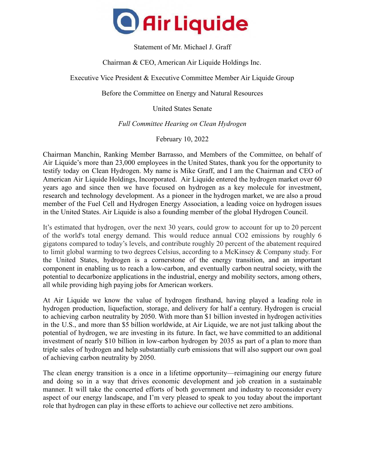

Statement of Mr. Michael J. Graff

Chairman & CEO, American Air Liquide Holdings Inc.

Executive Vice President & Executive Committee Member Air Liquide Group

Before the Committee on Energy and Natural Resources

United States Senate

*Full Committee Hearing on Clean Hydrogen*

February 10, 2022

Chairman Manchin, Ranking Member Barrasso, and Members of the Committee, on behalf of Air Liquide's more than 23,000 employees in the United States, thank you for the opportunity to testify today on Clean Hydrogen. My name is Mike Graff, and I am the Chairman and CEO of American Air Liquide Holdings, Incorporated. Air Liquide entered the hydrogen market over 60 years ago and since then we have focused on hydrogen as a key molecule for investment, research and technology development. As a pioneer in the hydrogen market, we are also a proud member of the Fuel Cell and Hydrogen Energy Association, a leading voice on hydrogen issues in the United States. Air Liquide is also a founding member of the global Hydrogen Council.

It's estimated that hydrogen, over the next 30 years, could grow to account for up to 20 percent of the world's total energy demand. This would reduce annual CO2 emissions by roughly 6 gigatons compared to today's levels, and contribute roughly 20 percent of the abatement required to limit global warming to two degrees Celsius, according to a McKinsey & Company study. For the United States, hydrogen is a cornerstone of the energy transition, and an important component in enabling us to reach a low-carbon, and eventually carbon neutral society, with the potential to decarbonize applications in the industrial, energy and mobility sectors, among others, all while providing high paying jobs for American workers.

At Air Liquide we know the value of hydrogen firsthand, having played a leading role in hydrogen production, liquefaction, storage, and delivery for half a century. Hydrogen is crucial to achieving carbon neutrality by 2050. With more than \$1 billion invested in hydrogen activities in the U.S., and more than \$5 billion worldwide, at Air Liquide, we are not just talking about the potential of hydrogen, we are investing in its future. In fact, we have committed to an additional investment of nearly \$10 billion in low-carbon hydrogen by 2035 as part of a plan to more than triple sales of hydrogen and help substantially curb emissions that will also support our own goal of achieving carbon neutrality by 2050.

The clean energy transition is a once in a lifetime opportunity—reimagining our energy future and doing so in a way that drives economic development and job creation in a sustainable manner. It will take the concerted efforts of both government and industry to reconsider every aspect of our energy landscape, and I'm very pleased to speak to you today about the important role that hydrogen can play in these efforts to achieve our collective net zero ambitions.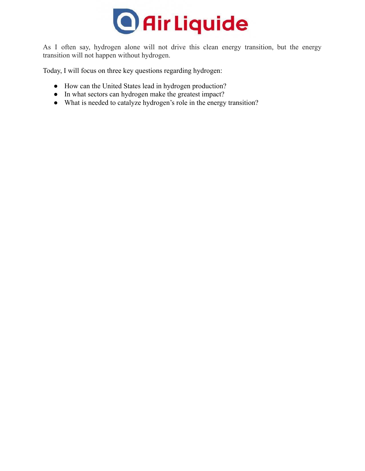

As I often say, hydrogen alone will not drive this clean energy transition, but the energy transition will not happen without hydrogen.

Today, I will focus on three key questions regarding hydrogen:

- How can the United States lead in hydrogen production?
- In what sectors can hydrogen make the greatest impact?
- What is needed to catalyze hydrogen's role in the energy transition?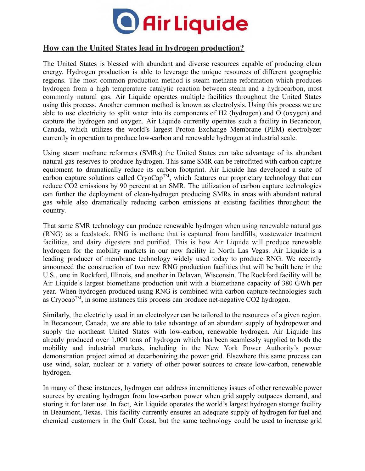

## **How can the United States lead in hydrogen production?**

The United States is blessed with abundant and diverse resources capable of producing clean energy. Hydrogen production is able to leverage the unique resources of different geographic regions. The most common production method is steam methane reformation which produces hydrogen from a high temperature catalytic reaction between steam and a hydrocarbon, most commonly natural gas. Air Liquide operates multiple facilities throughout the United States using this process. Another common method is known as electrolysis. Using this process we are able to use electricity to split water into its components of H2 (hydrogen) and O (oxygen) and capture the hydrogen and oxygen. Air Liquide currently operates such a facility in Becancour, Canada, which utilizes the world's largest Proton Exchange Membrane (PEM) electrolyzer currently in operation to produce low-carbon and renewable hydrogen at industrial scale.

Using steam methane reformers (SMRs) the United States can take advantage of its abundant natural gas reserves to produce hydrogen. This same SMR can be retrofitted with carbon capture equipment to dramatically reduce its carbon footprint. Air Liquide has developed a suite of carbon capture solutions called CryoCap<sup>TM</sup>, which features our proprietary technology that can reduce CO2 emissions by 90 percent at an SMR. The utilization of carbon capture technologies can further the deployment of clean-hydrogen producing SMRs in areas with abundant natural gas while also dramatically reducing carbon emissions at existing facilities throughout the country.

That same SMR technology can produce renewable hydrogen when using renewable natural gas (RNG) as a feedstock. RNG is methane that is captured from landfills, wastewater treatment facilities, and dairy digesters and purified. This is how Air Liquide will produce renewable hydrogen for the mobility markets in our new facility in North Las Vegas. Air Liquide is a leading producer of membrane technology widely used today to produce RNG. We recently announced the construction of two new RNG production facilities that will be built here in the U.S., one in Rockford, Illinois, and another in Delavan, Wisconsin. The Rockford facility will be Air Liquide's largest biomethane production unit with a biomethane capacity of 380 GWh per year. When hydrogen produced using RNG is combined with carbon capture technologies such as  $Cryocap^{TM}$ , in some instances this process can produce net-negative  $CO2$  hydrogen.

Similarly, the electricity used in an electrolyzer can be tailored to the resources of a given region. In Becancour, Canada, we are able to take advantage of an abundant supply of hydropower and supply the northeast United States with low-carbon, renewable hydrogen. Air Liquide has already produced over 1,000 tons of hydrogen which has been seamlessly supplied to both the mobility and industrial markets, including in the New York Power Authority's power demonstration project aimed at decarbonizing the power grid. Elsewhere this same process can use wind, solar, nuclear or a variety of other power sources to create low-carbon, renewable hydrogen.

In many of these instances, hydrogen can address intermittency issues of other renewable power sources by creating hydrogen from low-carbon power when grid supply outpaces demand, and storing it for later use. In fact, Air Liquide operates the world's largest hydrogen storage facility in Beaumont, Texas. This facility currently ensures an adequate supply of hydrogen for fuel and chemical customers in the Gulf Coast, but the same technology could be used to increase grid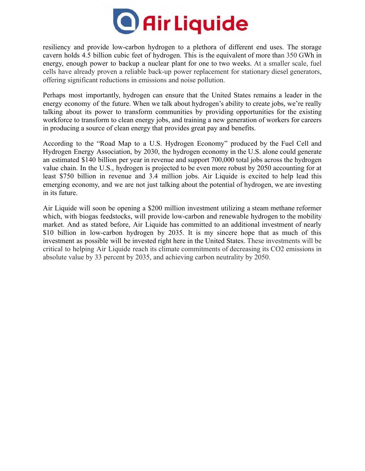

resiliency and provide low-carbon hydrogen to a plethora of different end uses. The storage cavern holds 4.5 billion cubic feet of hydrogen. This is the equivalent of more than 350 GWh in energy, enough power to backup a nuclear plant for one to two weeks. At a smaller scale, fuel cells have already proven a reliable back-up power replacement for stationary diesel generators, offering significant reductions in emissions and noise pollution.

Perhaps most importantly, hydrogen can ensure that the United States remains a leader in the energy economy of the future. When we talk about hydrogen's ability to create jobs, we're really talking about its power to transform communities by providing opportunities for the existing workforce to transform to clean energy jobs, and training a new generation of workers for careers in producing a source of clean energy that provides great pay and benefits.

According to the "Road Map to a U.S. Hydrogen Economy" produced by the Fuel Cell and Hydrogen Energy Association, by 2030, the hydrogen economy in the U.S. alone could generate an estimated \$140 billion per year in revenue and support 700,000 total jobs across the hydrogen value chain. In the U.S., hydrogen is projected to be even more robust by 2050 accounting for at least \$750 billion in revenue and 3.4 million jobs. Air Liquide is excited to help lead this emerging economy, and we are not just talking about the potential of hydrogen, we are investing in its future.

Air Liquide will soon be opening a \$200 million investment utilizing a steam methane reformer which, with biogas feedstocks, will provide low-carbon and renewable hydrogen to the mobility market. And as stated before, Air Liquide has committed to an additional investment of nearly \$10 billion in low-carbon hydrogen by 2035. It is my sincere hope that as much of this investment as possible will be invested right here in the United States. These investments will be critical to helping Air Liquide reach its climate commitments of decreasing its CO2 emissions in absolute value by 33 percent by 2035, and achieving carbon neutrality by 2050.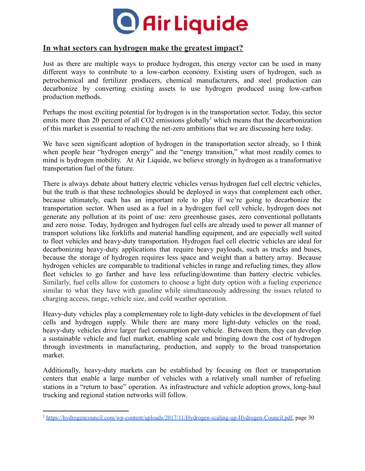

## **In what sectors can hydrogen make the greatest impact?**

Just as there are multiple ways to produce hydrogen, this energy vector can be used in many different ways to contribute to a low-carbon economy. Existing users of hydrogen, such as petrochemical and fertilizer producers, chemical manufacturers, and steel production can decarbonize by converting existing assets to use hydrogen produced using low-carbon production methods.

Perhaps the most exciting potential for hydrogen is in the transportation sector. Today, this sector emits more than 20 percent of all  $CO2$  emissions globally<sup>1</sup> which means that the decarbonization of this market is essential to reaching the net-zero ambitions that we are discussing here today.

We have seen significant adoption of hydrogen in the transportation sector already, so I think when people hear "hydrogen energy" and the "energy transition," what most readily comes to mind is hydrogen mobility. At Air Liquide, we believe strongly in hydrogen as a transformative transportation fuel of the future.

There is always debate about battery electric vehicles versus hydrogen fuel cell electric vehicles, but the truth is that these technologies should be deployed in ways that complement each other, because ultimately, each has an important role to play if we're going to decarbonize the transportation sector. When used as a fuel in a hydrogen fuel cell vehicle, hydrogen does not generate any pollution at its point of use: zero greenhouse gases, zero conventional pollutants and zero noise. Today, hydrogen and hydrogen fuel cells are already used to power all manner of transport solutions like forklifts and material handling equipment, and are especially well suited to fleet vehicles and heavy-duty transportation. Hydrogen fuel cell electric vehicles are ideal for decarbonizing heavy-duty applications that require heavy payloads, such as trucks and buses, because the storage of hydrogen requires less space and weight than a battery array. Because hydrogen vehicles are comparable to traditional vehicles in range and refueling times, they allow fleet vehicles to go farther and have less refueling/downtime than battery electric vehicles. Similarly, fuel cells allow for customers to choose a light duty option with a fueling experience similar to what they have with gasoline while simultaneously addressing the issues related to charging access, range, vehicle size, and cold weather operation.

Heavy-duty vehicles play a complementary role to light-duty vehicles in the development of fuel cells and hydrogen supply. While there are many more light-duty vehicles on the road, heavy-duty vehicles drive larger fuel consumption per vehicle. Between them, they can develop a sustainable vehicle and fuel market, enabling scale and bringing down the cost of hydrogen through investments in manufacturing, production, and supply to the broad transportation market.

Additionally, heavy-duty markets can be established by focusing on fleet or transportation centers that enable a large number of vehicles with a relatively small number of refueling stations in a "return to base" operation. As infrastructure and vehicle adoption grows, long-haul trucking and regional station networks will follow.

<sup>&</sup>lt;sup>1</sup> [https://hydrogencouncil.com/wp-content/uploads/2017/11/Hydrogen-scaling-up-Hydrogen-Council.pdf,](https://hydrogencouncil.com/wp-content/uploads/2017/11/Hydrogen-scaling-up-Hydrogen-Council.pdf) page 30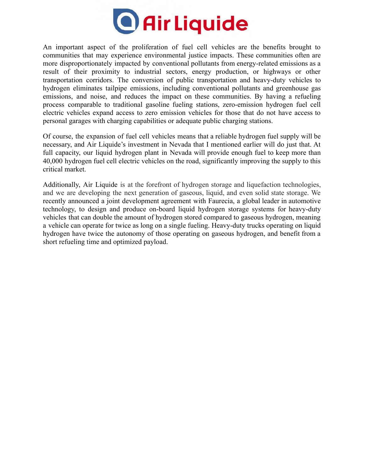

An important aspect of the proliferation of fuel cell vehicles are the benefits brought to communities that may experience environmental justice impacts. These communities often are more disproportionately impacted by conventional pollutants from energy-related emissions as a result of their proximity to industrial sectors, energy production, or highways or other transportation corridors. The conversion of public transportation and heavy-duty vehicles to hydrogen eliminates tailpipe emissions, including conventional pollutants and greenhouse gas emissions, and noise, and reduces the impact on these communities. By having a refueling process comparable to traditional gasoline fueling stations, zero-emission hydrogen fuel cell electric vehicles expand access to zero emission vehicles for those that do not have access to personal garages with charging capabilities or adequate public charging stations.

Of course, the expansion of fuel cell vehicles means that a reliable hydrogen fuel supply will be necessary, and Air Liquide's investment in Nevada that I mentioned earlier will do just that. At full capacity, our liquid hydrogen plant in Nevada will provide enough fuel to keep more than 40,000 hydrogen fuel cell electric vehicles on the road, significantly improving the supply to this critical market.

Additionally, Air Liquide is at the forefront of hydrogen storage and liquefaction technologies, and we are developing the next generation of gaseous, liquid, and even solid state storage. We recently announced a joint development agreement with Faurecia, a global leader in automotive technology, to design and produce on-board liquid hydrogen storage systems for heavy-duty vehicles that can double the amount of hydrogen stored compared to gaseous hydrogen, meaning a vehicle can operate for twice as long on a single fueling. Heavy-duty trucks operating on liquid hydrogen have twice the autonomy of those operating on gaseous hydrogen, and benefit from a short refueling time and optimized payload.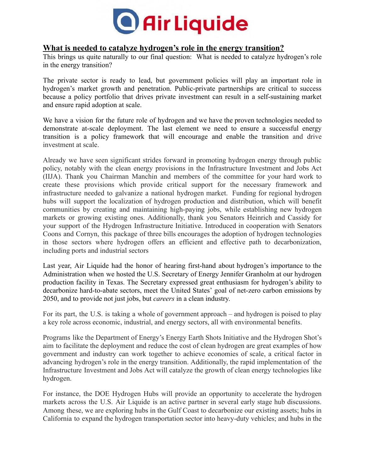

## **What is needed to catalyze hydrogen's role in the energy transition?**

This brings us quite naturally to our final question: What is needed to catalyze hydrogen's role in the energy transition?

The private sector is ready to lead, but government policies will play an important role in hydrogen's market growth and penetration. Public-private partnerships are critical to success because a policy portfolio that drives private investment can result in a self-sustaining market and ensure rapid adoption at scale.

We have a vision for the future role of hydrogen and we have the proven technologies needed to demonstrate at-scale deployment. The last element we need to ensure a successful energy transition is a policy framework that will encourage and enable the transition and drive investment at scale.

Already we have seen significant strides forward in promoting hydrogen energy through public policy, notably with the clean energy provisions in the Infrastructure Investment and Jobs Act (IIJA). Thank you Chairman Manchin and members of the committee for your hard work to create these provisions which provide critical support for the necessary framework and infrastructure needed to galvanize a national hydrogen market. Funding for regional hydrogen hubs will support the localization of hydrogen production and distribution, which will benefit communities by creating and maintaining high-paying jobs, while establishing new hydrogen markets or growing existing ones. Additionally, thank you Senators Heinrich and Cassidy for your support of the Hydrogen Infrastructure Initiative. Introduced in cooperation with Senators Coons and Cornyn, this package of three bills encourages the adoption of hydrogen technologies in those sectors where hydrogen offers an efficient and effective path to decarbonization, including ports and industrial sectors

Last year, Air Liquide had the honor of hearing first-hand about hydrogen's importance to the Administration when we hosted the U.S. Secretary of Energy Jennifer Granholm at our hydrogen production facility in Texas. The Secretary expressed great enthusiasm for hydrogen's ability to decarbonize hard-to-abate sectors, meet the United States' goal of net-zero carbon emissions by 2050, and to provide not just jobs, but *careers* in a clean industry.

For its part, the U.S. is taking a whole of government approach – and hydrogen is poised to play a key role across economic, industrial, and energy sectors, all with environmental benefits.

Programs like the Department of Energy's Energy Earth Shots Initiative and the Hydrogen Shot's aim to facilitate the deployment and reduce the cost of clean hydrogen are great examples of how government and industry can work together to achieve economies of scale, a critical factor in advancing hydrogen's role in the energy transition. Additionally, the rapid implementation of the Infrastructure Investment and Jobs Act will catalyze the growth of clean energy technologies like hydrogen.

For instance, the DOE Hydrogen Hubs will provide an opportunity to accelerate the hydrogen markets across the U.S. Air Liquide is an active partner in several early stage hub discussions. Among these, we are exploring hubs in the Gulf Coast to decarbonize our existing assets; hubs in California to expand the hydrogen transportation sector into heavy-duty vehicles; and hubs in the